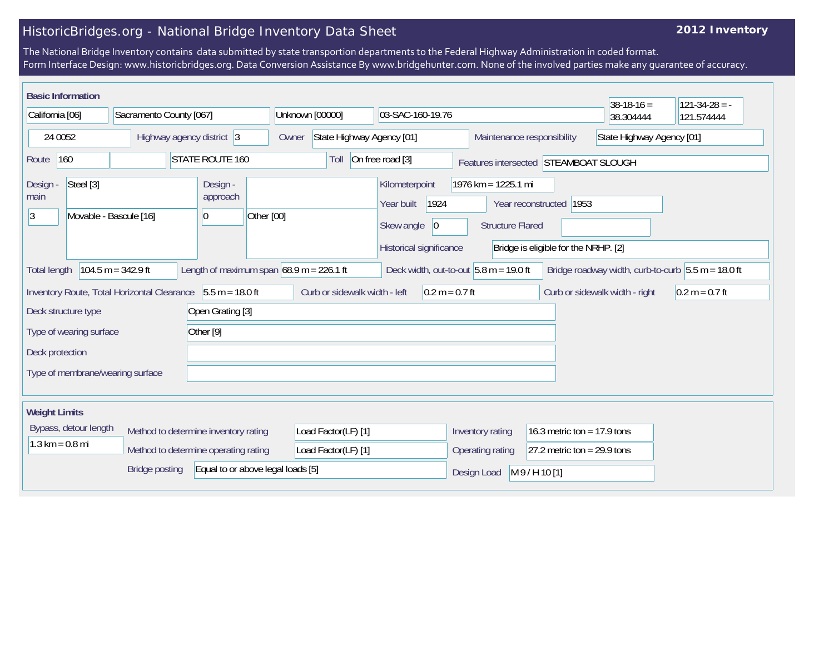## HistoricBridges.org - National Bridge Inventory Data Sheet

## **2012 Inventory**

The National Bridge Inventory contains data submitted by state transportion departments to the Federal Highway Administration in coded format. Form Interface Design: www.historicbridges.org. Data Conversion Assistance By www.bridgehunter.com. None of the involved parties make any guarantee of accuracy.

| <b>Basic Information</b>                                                                                                                                                                      |                                                                                                                                            |                           |  |            |                                                                                              |                                    |  |                               |                                                                                                                   |                                                   |  |                                                         | $38-18-16=$ | $121-34-28 = -$ |  |  |
|-----------------------------------------------------------------------------------------------------------------------------------------------------------------------------------------------|--------------------------------------------------------------------------------------------------------------------------------------------|---------------------------|--|------------|----------------------------------------------------------------------------------------------|------------------------------------|--|-------------------------------|-------------------------------------------------------------------------------------------------------------------|---------------------------------------------------|--|---------------------------------------------------------|-------------|-----------------|--|--|
| California [06]                                                                                                                                                                               |                                                                                                                                            | Sacramento County [067]   |  |            |                                                                                              | Unknown [00000]                    |  |                               | 03-SAC-160-19.76                                                                                                  |                                                   |  |                                                         | 38.304444   | 121.574444      |  |  |
| 24 0052                                                                                                                                                                                       |                                                                                                                                            | Highway agency district 3 |  |            |                                                                                              | State Highway Agency [01]<br>Owner |  |                               |                                                                                                                   |                                                   |  | State Highway Agency [01]<br>Maintenance responsibility |             |                 |  |  |
| Route                                                                                                                                                                                         | 160                                                                                                                                        | <b>STATE ROUTE 160</b>    |  |            |                                                                                              | On free road [3]<br>Toll           |  |                               |                                                                                                                   | Features intersected STEAMBOAT SLOUGH             |  |                                                         |             |                 |  |  |
| Design -<br>main<br>3                                                                                                                                                                         | Steel [3]<br>Design -<br>approach<br>Movable - Bascule [16]<br>10                                                                          |                           |  | Other [00] | Kilometerpoint<br>Year built<br>1924<br>Skew angle<br>$ 0\rangle$<br>Historical significance |                                    |  |                               | 1976 km = 1225.1 mi<br>Year reconstructed 1953<br><b>Structure Flared</b><br>Bridge is eligible for the NRHP. [2] |                                                   |  |                                                         |             |                 |  |  |
| Length of maximum span $68.9$ m = 226.1 ft<br>$104.5 m = 342.9 ft$<br>Deck width, out-to-out $5.8$ m = 19.0 ft<br>Bridge roadway width, curb-to-curb $5.5 m = 18.0 ft$<br><b>Total length</b> |                                                                                                                                            |                           |  |            |                                                                                              |                                    |  |                               |                                                                                                                   |                                                   |  |                                                         |             |                 |  |  |
| $5.5 m = 18.0 ft$<br>Curb or sidewalk width - left<br>$0.2 m = 0.7 ft$<br>Inventory Route, Total Horizontal Clearance                                                                         |                                                                                                                                            |                           |  |            |                                                                                              |                                    |  |                               | Curb or sidewalk width - right                                                                                    | $0.2 m = 0.7 ft$                                  |  |                                                         |             |                 |  |  |
| Deck structure type<br>Open Grating [3]                                                                                                                                                       |                                                                                                                                            |                           |  |            |                                                                                              |                                    |  |                               |                                                                                                                   |                                                   |  |                                                         |             |                 |  |  |
| Other [9]<br>Type of wearing surface                                                                                                                                                          |                                                                                                                                            |                           |  |            |                                                                                              |                                    |  |                               |                                                                                                                   |                                                   |  |                                                         |             |                 |  |  |
| Deck protection                                                                                                                                                                               |                                                                                                                                            |                           |  |            |                                                                                              |                                    |  |                               |                                                                                                                   |                                                   |  |                                                         |             |                 |  |  |
| Type of membrane/wearing surface                                                                                                                                                              |                                                                                                                                            |                           |  |            |                                                                                              |                                    |  |                               |                                                                                                                   |                                                   |  |                                                         |             |                 |  |  |
| <b>Weight Limits</b>                                                                                                                                                                          |                                                                                                                                            |                           |  |            |                                                                                              |                                    |  |                               |                                                                                                                   |                                                   |  |                                                         |             |                 |  |  |
|                                                                                                                                                                                               | Bypass, detour length<br>Method to determine inventory rating<br>$1.3 \text{ km} = 0.8 \text{ mi}$<br>Method to determine operating rating |                           |  |            | Load Factor(LF) [1]                                                                          |                                    |  |                               | 16.3 metric ton = 17.9 tons<br>Inventory rating                                                                   |                                                   |  |                                                         |             |                 |  |  |
|                                                                                                                                                                                               |                                                                                                                                            |                           |  |            | Load Factor(LF) [1]                                                                          |                                    |  |                               |                                                                                                                   | 27.2 metric ton = $29.9$ tons<br>Operating rating |  |                                                         |             |                 |  |  |
| <b>Bridge posting</b><br>Equal to or above legal loads [5]                                                                                                                                    |                                                                                                                                            |                           |  |            |                                                                                              |                                    |  | M 9 / H 10 [1]<br>Design Load |                                                                                                                   |                                                   |  |                                                         |             |                 |  |  |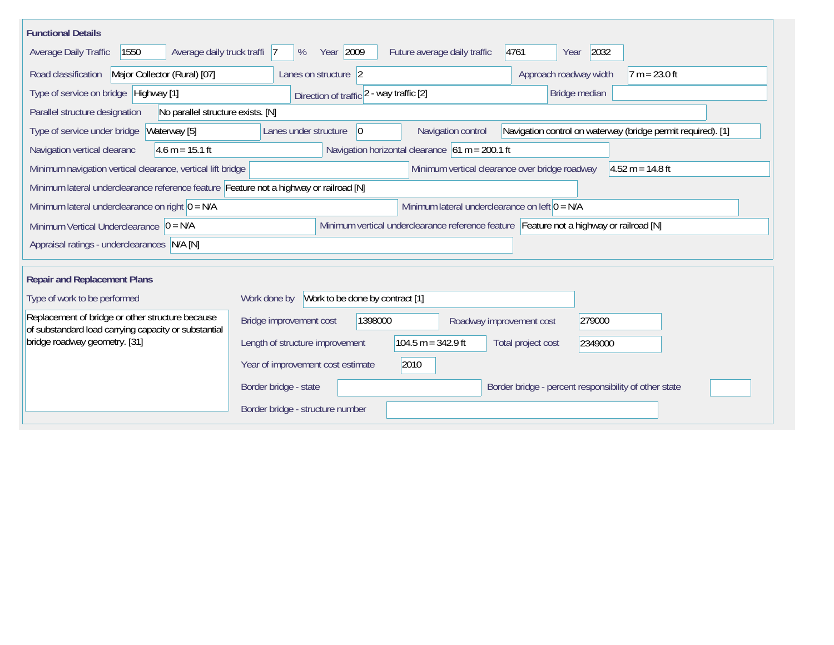| <b>Functional Details</b>                                                                                                                                                     |                                                                                          |  |  |  |  |  |  |  |  |  |  |
|-------------------------------------------------------------------------------------------------------------------------------------------------------------------------------|------------------------------------------------------------------------------------------|--|--|--|--|--|--|--|--|--|--|
| 1550<br>Average daily truck traffi 7<br>Average Daily Traffic                                                                                                                 | Year 2009<br>4761<br>2032<br>Future average daily traffic<br>%<br>Year                   |  |  |  |  |  |  |  |  |  |  |
| Road classification<br>Major Collector (Rural) [07]                                                                                                                           | Approach roadway width<br>$7 m = 23.0 ft$<br>Lanes on structure 2                        |  |  |  |  |  |  |  |  |  |  |
| Type of service on bridge Highway [1]                                                                                                                                         | Direction of traffic 2 - way traffic [2]<br>Bridge median                                |  |  |  |  |  |  |  |  |  |  |
| No parallel structure exists. [N]<br>Parallel structure designation                                                                                                           |                                                                                          |  |  |  |  |  |  |  |  |  |  |
| Navigation control on waterway (bridge permit required). [1]<br>Waterway [5]<br>Navigation control<br>Type of service under bridge<br>Lanes under structure<br>$\overline{0}$ |                                                                                          |  |  |  |  |  |  |  |  |  |  |
| Navigation horizontal clearance $61 m = 200.1 ft$<br>$4.6 m = 15.1 ft$<br>Navigation vertical clearanc                                                                        |                                                                                          |  |  |  |  |  |  |  |  |  |  |
| Minimum vertical clearance over bridge roadway<br>$4.52 m = 14.8 ft$<br>Minimum navigation vertical clearance, vertical lift bridge                                           |                                                                                          |  |  |  |  |  |  |  |  |  |  |
| Minimum lateral underclearance reference feature Feature not a highway or railroad [N]                                                                                        |                                                                                          |  |  |  |  |  |  |  |  |  |  |
| Minimum lateral underclearance on right $0 = N/A$<br>Minimum lateral underclearance on left $0 = N/A$                                                                         |                                                                                          |  |  |  |  |  |  |  |  |  |  |
| Minimum vertical underclearance reference feature Feature not a highway or railroad [N]<br>Minimum Vertical Underclearance $ 0 = N/A$                                         |                                                                                          |  |  |  |  |  |  |  |  |  |  |
| Appraisal ratings - underclearances N/A [N]                                                                                                                                   |                                                                                          |  |  |  |  |  |  |  |  |  |  |
|                                                                                                                                                                               |                                                                                          |  |  |  |  |  |  |  |  |  |  |
| <b>Repair and Replacement Plans</b>                                                                                                                                           |                                                                                          |  |  |  |  |  |  |  |  |  |  |
| Type of work to be performed                                                                                                                                                  | Work to be done by contract [1]<br>Work done by                                          |  |  |  |  |  |  |  |  |  |  |
| Replacement of bridge or other structure because<br>of substandard load carrying capacity or substantial                                                                      | 1398000<br>279000<br>Bridge improvement cost<br>Roadway improvement cost                 |  |  |  |  |  |  |  |  |  |  |
| bridge roadway geometry. [31]                                                                                                                                                 | $104.5 m = 342.9 ft$<br>Length of structure improvement<br>Total project cost<br>2349000 |  |  |  |  |  |  |  |  |  |  |
|                                                                                                                                                                               | 2010<br>Year of improvement cost estimate                                                |  |  |  |  |  |  |  |  |  |  |
|                                                                                                                                                                               | Border bridge - state<br>Border bridge - percent responsibility of other state           |  |  |  |  |  |  |  |  |  |  |
|                                                                                                                                                                               | Border bridge - structure number                                                         |  |  |  |  |  |  |  |  |  |  |